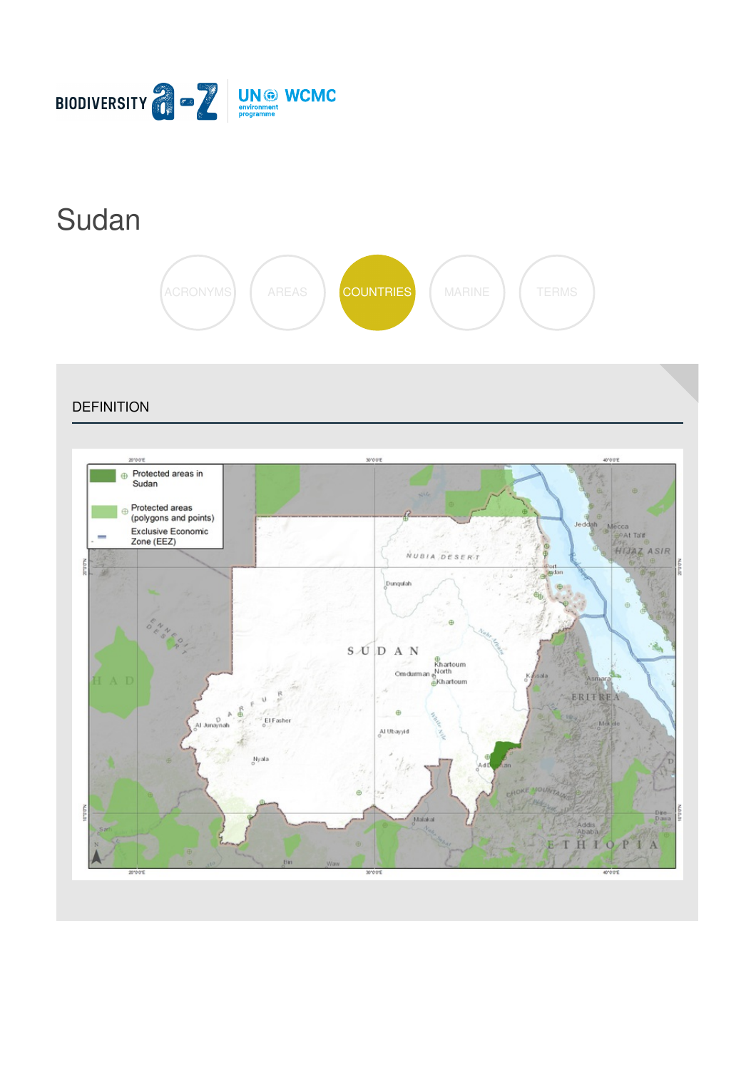

# [Sudan](https://biodiversitya-z.org/content/sudan)



**DEFINITION** 

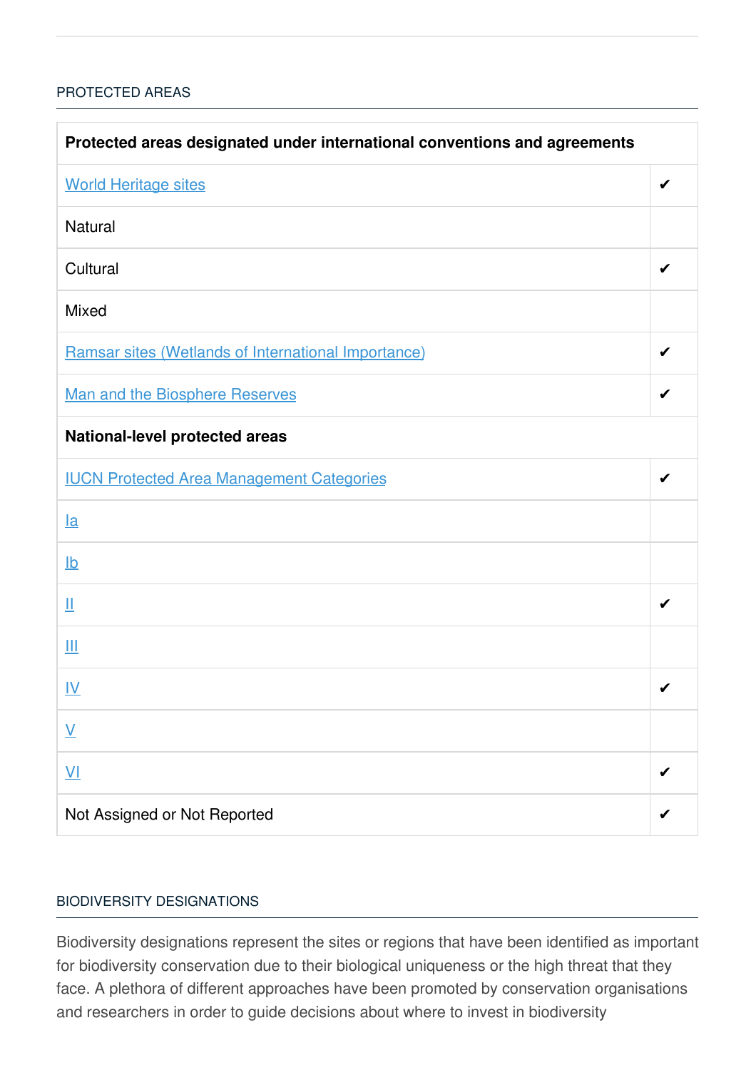### [PROTECTED](javascript:void(0)) AREAS

| Protected areas designated under international conventions and agreements |   |  |
|---------------------------------------------------------------------------|---|--|
| <b>World Heritage sites</b>                                               | ✔ |  |
| <b>Natural</b>                                                            |   |  |
| Cultural                                                                  |   |  |
| <b>Mixed</b>                                                              |   |  |
| Ramsar sites (Wetlands of International Importance)                       | ✔ |  |
| Man and the Biosphere Reserves                                            | ✔ |  |
| <b>National-level protected areas</b>                                     |   |  |
| <b>IUCN Protected Area Management Categories</b>                          | ✔ |  |
| $l$ a                                                                     |   |  |
| $\underline{\mathsf{lb}}$                                                 |   |  |
| Щ                                                                         | ✔ |  |
| Ш                                                                         |   |  |
| <u>IV</u>                                                                 | ✔ |  |
| $\underline{\mathsf{V}}$                                                  |   |  |
| $\underline{\mathsf{V}}$                                                  |   |  |
| Not Assigned or Not Reported                                              |   |  |

#### BIODIVERSITY [DESIGNATIONS](javascript:void(0))

Biodiversity designations represent the sites or regions that have been identified as important for biodiversity conservation due to their biological uniqueness or the high threat that they face. A plethora of different approaches have been promoted by conservation organisations and researchers in order to guide decisions about where to invest in biodiversity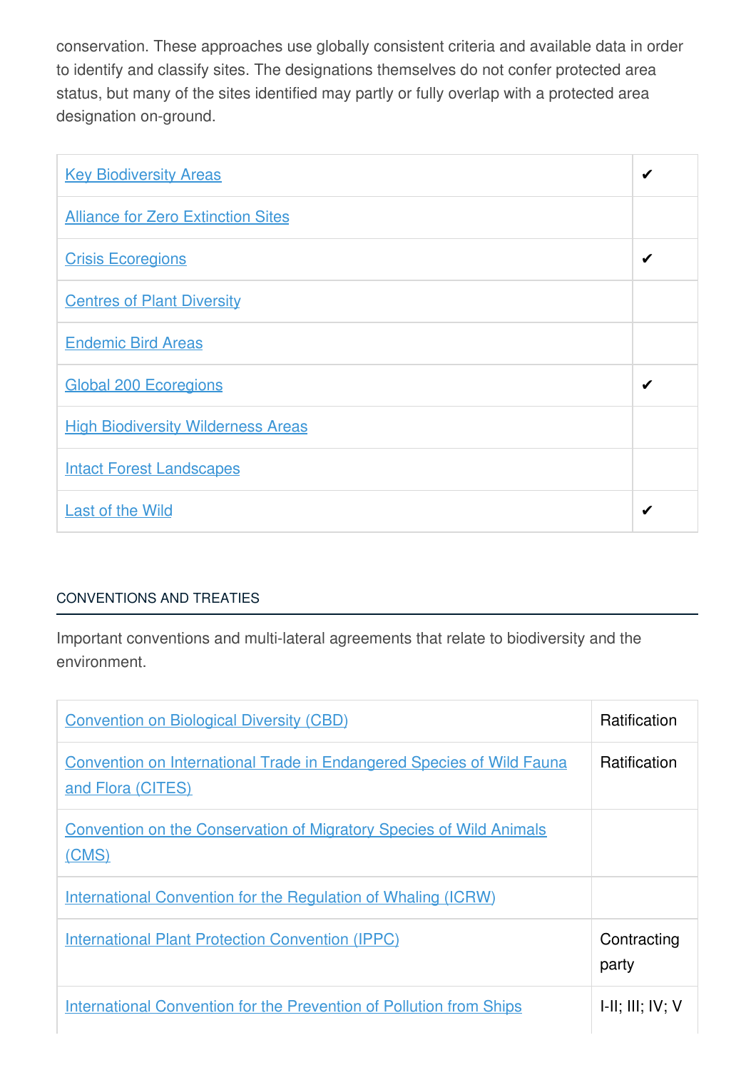conservation. These approaches use globally consistent criteria and available data in order to identify and classify sites. The designations themselves do not confer protected area status, but many of the sites identified may partly or fully overlap with a protected area designation on-ground.

| <b>Key Biodiversity Areas</b>             | ✔ |
|-------------------------------------------|---|
| <b>Alliance for Zero Extinction Sites</b> |   |
| <b>Crisis Ecoregions</b>                  | ✔ |
| <b>Centres of Plant Diversity</b>         |   |
| <b>Endemic Bird Areas</b>                 |   |
| <b>Global 200 Ecoregions</b>              | ✔ |
| <b>High Biodiversity Wilderness Areas</b> |   |
| <b>Intact Forest Landscapes</b>           |   |
| <b>Last of the Wild</b>                   | ✔ |

## [CONVENTIONS](javascript:void(0)) AND TREATIES

Important conventions and multi-lateral agreements that relate to biodiversity and the environment.

| <b>Convention on Biological Diversity (CBD)</b>                                                   | <b>Ratification</b>         |
|---------------------------------------------------------------------------------------------------|-----------------------------|
| <b>Convention on International Trade in Endangered Species of Wild Fauna</b><br>and Flora (CITES) | <b>Ratification</b>         |
| <b>Convention on the Conservation of Migratory Species of Wild Animals</b><br>(CMS)               |                             |
| <b>International Convention for the Regulation of Whaling (ICRW)</b>                              |                             |
| <b>International Plant Protection Convention (IPPC)</b>                                           | Contracting<br>party        |
| <b>International Convention for the Prevention of Pollution from Ships</b>                        | $I-II$ ; $III$ ; $IV$ ; $V$ |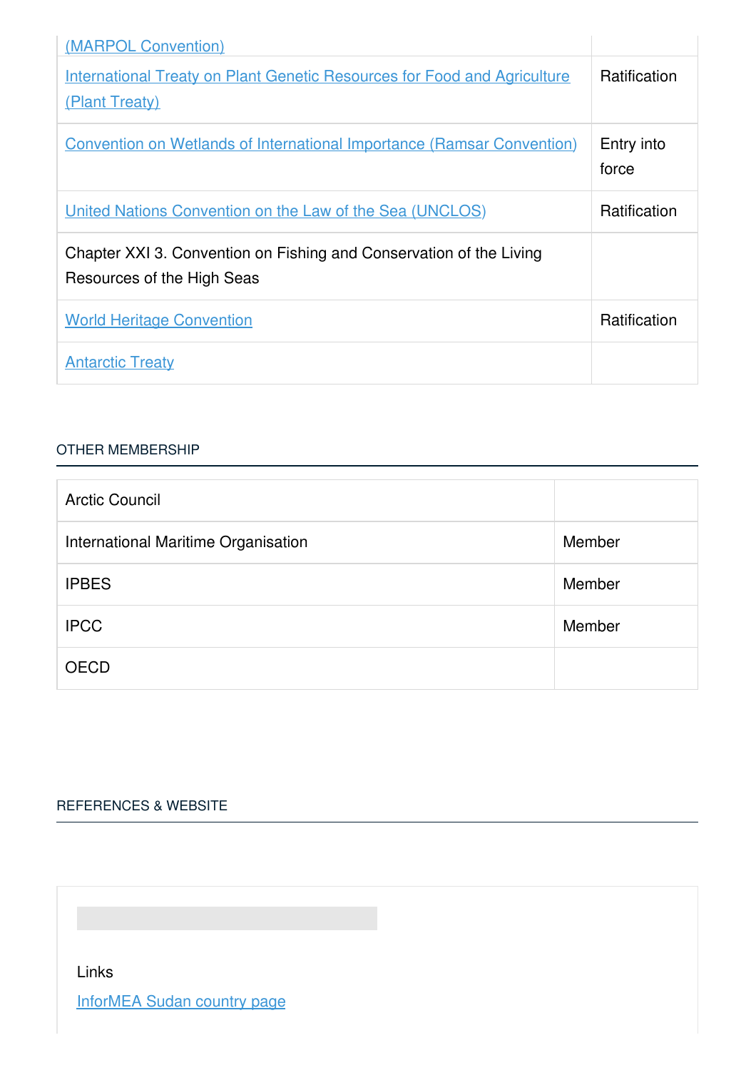| (MARPOL Convention)                                                                               |                     |
|---------------------------------------------------------------------------------------------------|---------------------|
| <b>International Treaty on Plant Genetic Resources for Food and Agriculture</b><br>(Plant Treaty) | Ratification        |
| <b>Convention on Wetlands of International Importance (Ramsar Convention)</b>                     | Entry into<br>force |
| <u><b>United Nations Convention on the Law of the Sea (UNCLOS)</b></u>                            | <b>Ratification</b> |
| Chapter XXI 3. Convention on Fishing and Conservation of the Living<br>Resources of the High Seas |                     |
| <b>World Heritage Convention</b>                                                                  | Ratification        |
| <b>Antarctic Treaty</b>                                                                           |                     |

#### OTHER [MEMBERSHIP](javascript:void(0))

| <b>Arctic Council</b>               |        |
|-------------------------------------|--------|
| International Maritime Organisation | Member |
| <b>IPBES</b>                        | Member |
| <b>IPCC</b>                         | Member |
| <b>OECD</b>                         |        |

# [REFERENCES](javascript:void(0)) & WEBSITE

Links

[InforMEA](https://www.informea.org/countries/sd) Sudan country page